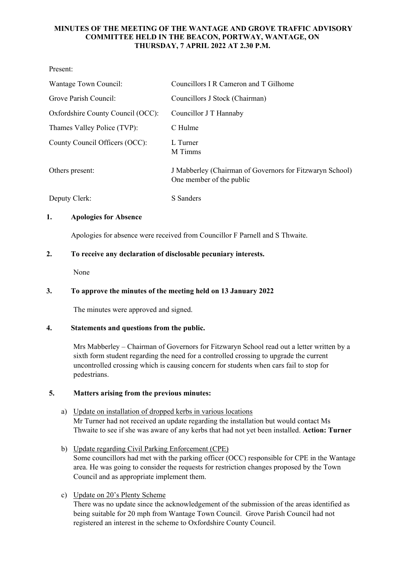# **MINUTES OF THE MEETING OF THE WANTAGE AND GROVE TRAFFIC ADVISORY COMMITTEE HELD IN THE BEACON, PORTWAY, WANTAGE, ON THURSDAY, 7 APRIL 2022 AT 2.30 P.M.**

Present:

| Wantage Town Council:             | Councillors I R Cameron and T Gilhome                                                |
|-----------------------------------|--------------------------------------------------------------------------------------|
| Grove Parish Council:             | Councillors J Stock (Chairman)                                                       |
| Oxfordshire County Council (OCC): | Councillor J T Hannaby                                                               |
| Thames Valley Police (TVP):       | C Hulme                                                                              |
| County Council Officers (OCC):    | L Turner<br>M Timms                                                                  |
| Others present:                   | J Mabberley (Chairman of Governors for Fitzwaryn School)<br>One member of the public |
| Deputy Clerk:                     | S Sanders                                                                            |

# **1. Apologies for Absence**

Apologies for absence were received from Councillor F Parnell and S Thwaite.

# **2. To receive any declaration of disclosable pecuniary interests.**

None

# **3. To approve the minutes of the meeting held on 13 January 2022**

The minutes were approved and signed.

### **4. Statements and questions from the public.**

Mrs Mabberley – Chairman of Governors for Fitzwaryn School read out a letter written by a sixth form student regarding the need for a controlled crossing to upgrade the current uncontrolled crossing which is causing concern for students when cars fail to stop for pedestrians.

### **5. Matters arising from the previous minutes:**

- a) Update on installation of dropped kerbs in various locations Mr Turner had not received an update regarding the installation but would contact Ms Thwaite to see if she was aware of any kerbs that had not yet been installed. **Action: Turner**
- b) Update regarding Civil Parking Enforcement (CPE) Some councillors had met with the parking officer (OCC) responsible for CPE in the Wantage area. He was going to consider the requests for restriction changes proposed by the Town Council and as appropriate implement them.
- c) Update on 20's Plenty Scheme

There was no update since the acknowledgement of the submission of the areas identified as being suitable for 20 mph from Wantage Town Council. Grove Parish Council had not registered an interest in the scheme to Oxfordshire County Council.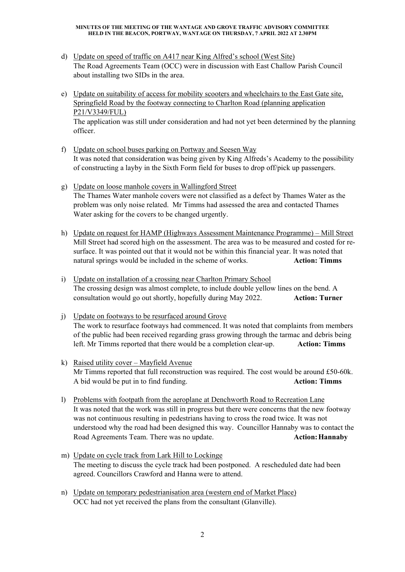#### **MINUTES OF THE MEETING OF THE WANTAGE AND GROVE TRAFFIC ADVISORY COMMITTEE HELD IN THE BEACON, PORTWAY, WANTAGE ON THURSDAY, 7 APRIL 2022 AT 2.30PM**

- d) Update on speed of traffic on A417 near King Alfred's school (West Site) The Road Agreements Team (OCC) were in discussion with East Challow Parish Council about installing two SIDs in the area.
- e) Update on suitability of access for mobility scooters and wheelchairs to the East Gate site, Springfield Road by the footway connecting to Charlton Road (planning application P21/V3349/FUL) The application was still under consideration and had not yet been determined by the planning officer.
- f) Update on school buses parking on Portway and Seesen Way It was noted that consideration was being given by King Alfreds's Academy to the possibility of constructing a layby in the Sixth Form field for buses to drop off/pick up passengers.
- g) Update on loose manhole covers in Wallingford Street The Thames Water manhole covers were not classified as a defect by Thames Water as the problem was only noise related. Mr Timms had assessed the area and contacted Thames Water asking for the covers to be changed urgently.
- h) Update on request for HAMP (Highways Assessment Maintenance Programme) Mill Street Mill Street had scored high on the assessment. The area was to be measured and costed for resurface. It was pointed out that it would not be within this financial year. It was noted that natural springs would be included in the scheme of works. **Action: Timms**
- i) Update on installation of a crossing near Charlton Primary School The crossing design was almost complete, to include double yellow lines on the bend. A consultation would go out shortly, hopefully during May 2022. **Action: Turner**
- j) Update on footways to be resurfaced around Grove The work to resurface footways had commenced. It was noted that complaints from members of the public had been received regarding grass growing through the tarmac and debris being left. Mr Timms reported that there would be a completion clear-up. **Action: Timms**
- k) Raised utility cover Mayfield Avenue Mr Timms reported that full reconstruction was required. The cost would be around £50-60k. A bid would be put in to find funding. **Action: Timms**
- l) Problems with footpath from the aeroplane at Denchworth Road to Recreation Lane It was noted that the work was still in progress but there were concerns that the new footway was not continuous resulting in pedestrians having to cross the road twice. It was not understood why the road had been designed this way. Councillor Hannaby was to contact the Road Agreements Team. There was no update. **Action:Hannaby**
- m) Update on cycle track from Lark Hill to Lockinge The meeting to discuss the cycle track had been postponed. A rescheduled date had been agreed. Councillors Crawford and Hanna were to attend.
- n) Update on temporary pedestrianisation area (western end of Market Place) OCC had not yet received the plans from the consultant (Glanville).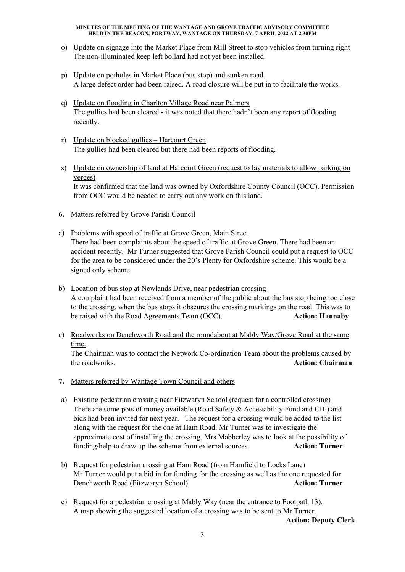#### **MINUTES OF THE MEETING OF THE WANTAGE AND GROVE TRAFFIC ADVISORY COMMITTEE HELD IN THE BEACON, PORTWAY, WANTAGE ON THURSDAY, 7 APRIL 2022 AT 2.30PM**

- o) Update on signage into the Market Place from Mill Street to stop vehicles from turning right The non-illuminated keep left bollard had not yet been installed.
- p) Update on potholes in Market Place (bus stop) and sunken road A large defect order had been raised. A road closure will be put in to facilitate the works.
- q) Update on flooding in Charlton Village Road near Palmers The gullies had been cleared - it was noted that there hadn't been any report of flooding recently.
- r) Update on blocked gullies Harcourt Green The gullies had been cleared but there had been reports of flooding.
- s) Update on ownership of land at Harcourt Green (request to lay materials to allow parking on verges)

It was confirmed that the land was owned by Oxfordshire County Council (OCC). Permission from OCC would be needed to carry out any work on this land.

- **6.** Matters referred by Grove Parish Council
- a) Problems with speed of traffic at Grove Green, Main Street There had been complaints about the speed of traffic at Grove Green. There had been an accident recently. Mr Turner suggested that Grove Parish Council could put a request to OCC for the area to be considered under the 20's Plenty for Oxfordshire scheme. This would be a signed only scheme.
- b) Location of bus stop at Newlands Drive, near pedestrian crossing A complaint had been received from a member of the public about the bus stop being too close to the crossing, when the bus stops it obscures the crossing markings on the road. This was to be raised with the Road Agreements Team (OCC). **Action: Hannaby**
- c) Roadworks on Denchworth Road and the roundabout at Mably Way/Grove Road at the same time.

The Chairman was to contact the Network Co-ordination Team about the problems caused by the roadworks. **Action: Chairman**

- **7.** Matters referred by Wantage Town Council and others
- a) Existing pedestrian crossing near Fitzwaryn School (request for a controlled crossing) There are some pots of money available (Road Safety & Accessibility Fund and CIL) and bids had been invited for next year. The request for a crossing would be added to the list along with the request for the one at Ham Road. Mr Turner was to investigate the approximate cost of installing the crossing. Mrs Mabberley was to look at the possibility of funding/help to draw up the scheme from external sources. **Action: Turner**
- b) Request for pedestrian crossing at Ham Road (from Hamfield to Locks Lane) Mr Turner would put a bid in for funding for the crossing as well as the one requested for Denchworth Road (Fitzwaryn School). **Action: Turner**
- c) Request for a pedestrian crossing at Mably Way (near the entrance to Footpath 13). A map showing the suggested location of a crossing was to be sent to Mr Turner.

**Action: Deputy Clerk**